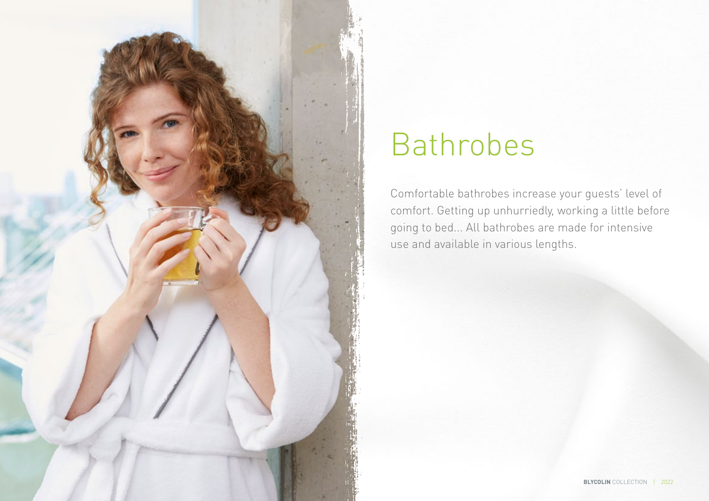

# Bathrobes

Comfortable bathrobes increase your guests' level of comfort. Getting up unhurriedly, working a little before going to bed... All bathrobes are made for intensive use and available in various lengths.